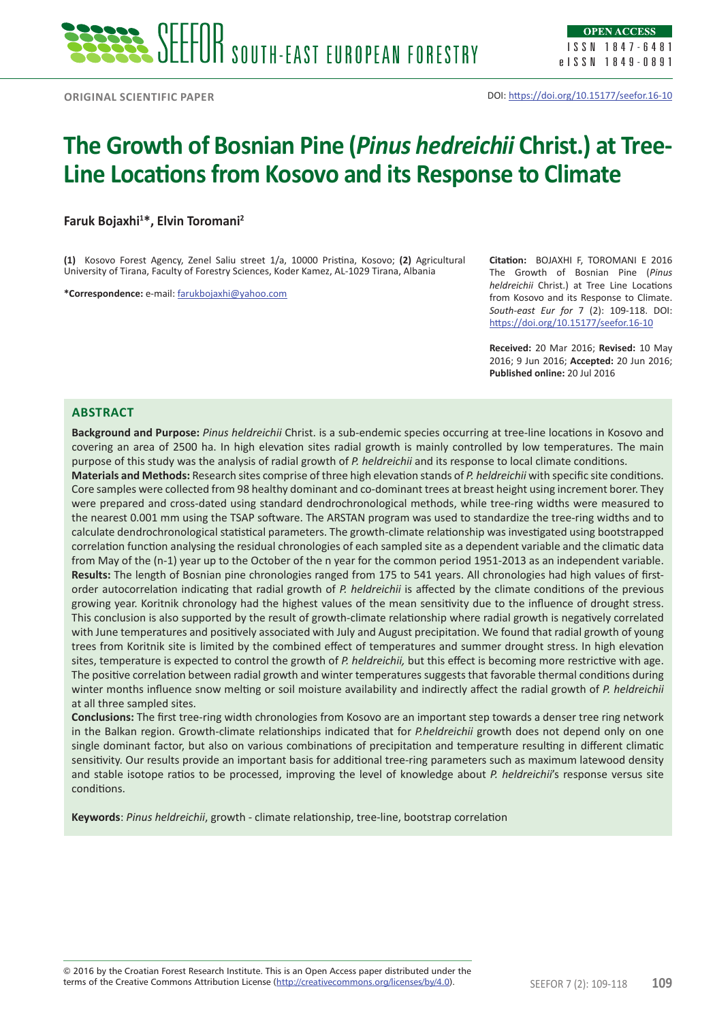# **The Growth of Bosnian Pine (***Pinus hedreichii* **Christ.) at Tree-Line Locations from Kosovo and its Response to Climate**

**Faruk Bojaxhi<sup>1</sup> \*, Elvin Toromani<sup>2</sup>**

**(1)** Kosovo Forest Agency, Zenel Saliu street 1/a, 10000 Pristina, Kosovo; **(2)** Agricultural University of Tirana, Faculty of Forestry Sciences, Koder Kamez, AL-1029 Tirana, Albania

**\*Correspondence:** e-mail: farukbojaxhi@yahoo.com

**Citation:** BOJAXHI F, TOROMANI E 2016 The Growth of Bosnian Pine (*Pinus heldreichii* Christ.) at Tree Line Locations from Kosovo and its Response to Climate. *South-east Eur for* 7 (2): 109-118. DOI: https://doi.org/10.15177/seefor.16-10

**Received:** 20 Mar 2016; **Revised:** 10 May 2016; 9 Jun 2016; **Accepted:** 20 Jun 2016; **Published online:** 20 Jul 2016

## **Abstract**

**Background and Purpose:** *Pinus heldreichii* Christ. is a sub-endemic species occurring at tree-line locations in Kosovo and covering an area of 2500 ha. In high elevation sites radial growth is mainly controlled by low temperatures. The main purpose of this study was the analysis of radial growth of *P. heldreichii* and its response to local climate conditions.

**Materials and Methods:** Research sites comprise of three high elevation stands of *P. heldreichii* with specific site conditions. Core samples were collected from 98 healthy dominant and co-dominant trees at breast height using increment borer. They were prepared and cross-dated using standard dendrochronological methods, while tree-ring widths were measured to the nearest 0.001 mm using the TSAP software. The ARSTAN program was used to standardize the tree-ring widths and to calculate dendrochronological statistical parameters. The growth-climate relationship was investigated using bootstrapped correlation function analysing the residual chronologies of each sampled site as a dependent variable and the climatic data from May of the (n-1) year up to the October of the n year for the common period 1951-2013 as an independent variable. **Results:** The length of Bosnian pine chronologies ranged from 175 to 541 years. All chronologies had high values of firstorder autocorrelation indicating that radial growth of *P. heldreichii* is affected by the climate conditions of the previous growing year. Koritnik chronology had the highest values of the mean sensitivity due to the influence of drought stress. This conclusion is also supported by the result of growth-climate relationship where radial growth is negatively correlated with June temperatures and positively associated with July and August precipitation. We found that radial growth of young trees from Koritnik site is limited by the combined effect of temperatures and summer drought stress. In high elevation sites, temperature is expected to control the growth of *P. heldreichii,* but this effect is becoming more restrictive with age. The positive correlation between radial growth and winter temperatures suggests that favorable thermal conditions during winter months influence snow melting or soil moisture availability and indirectly affect the radial growth of *P. heldreichii*  at all three sampled sites.

**Conclusions:** The first tree-ring width chronologies from Kosovo are an important step towards a denser tree ring network in the Balkan region. Growth-climate relationships indicated that for *P.heldreichii* growth does not depend only on one single dominant factor, but also on various combinations of precipitation and temperature resulting in different climatic sensitivity. Our results provide an important basis for additional tree-ring parameters such as maximum latewood density and stable isotope ratios to be processed, improving the level of knowledge about *P. heldreichii*'s response versus site conditions.

**Keywords**: *Pinus heldreichii*, growth - climate relationship, tree-line, bootstrap correlation

terms of the Creative Commons Attribution License (<u>http://creativecommons.org/licenses/by/4.0</u>). SEEFOR 7 (2): 109-118 **109** © 2016 by the Croatian Forest Research Institute. This is an Open Access paper distributed under the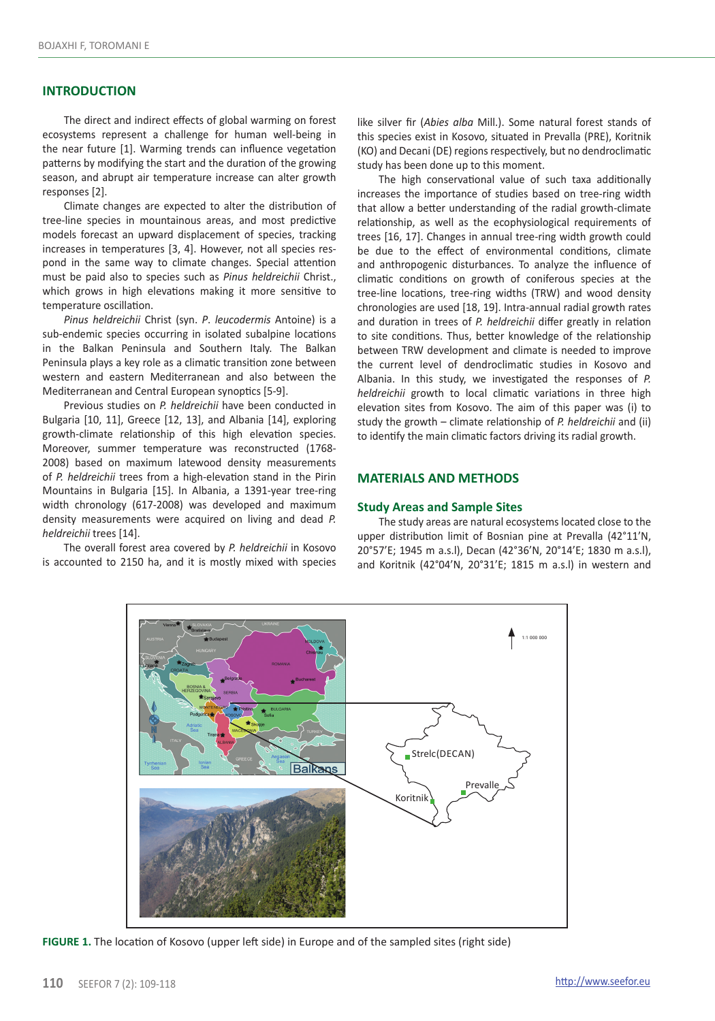## **INTRODUCTION**

The direct and indirect effects of global warming on forest ecosystems represent a challenge for human well-being in the near future [1]. Warming trends can influence vegetation patterns by modifying the start and the duration of the growing season, and abrupt air temperature increase can alter growth responses [2].

Climate changes are expected to alter the distribution of tree-line species in mountainous areas, and most predictive models forecast an upward displacement of species, tracking increases in temperatures [3, 4]. However, not all species respond in the same way to climate changes. Special attention must be paid also to species such as *Pinus heldreichii* Christ., which grows in high elevations making it more sensitive to temperature oscillation.

*Pinus heldreichii* Christ (syn. *P*. *leucodermis* Antoine) is a sub-endemic species occurring in isolated subalpine locations in the Balkan Peninsula and Southern Italy. The Balkan Peninsula plays a key role as a climatic transition zone between western and eastern Mediterranean and also between the Mediterranean and Central European synoptics [5-9].

Previous studies on *P. heldreichii* have been conducted in Bulgaria [10, 11], Greece [12, 13], and Albania [14], exploring growth-climate relationship of this high elevation species. Moreover, summer temperature was reconstructed (1768- 2008) based on maximum latewood density measurements of *P. heldreichii* trees from a high-elevation stand in the Pirin Mountains in Bulgaria [15]. In Albania, a 1391-year tree-ring width chronology (617-2008) was developed and maximum density measurements were acquired on living and dead *P. heldreichii* trees [14].

The overall forest area covered by *P. heldreichii* in Kosovo is accounted to 2150 ha, and it is mostly mixed with species

like silver fir (*Abies alba* Mill.). Some natural forest stands of this species exist in Kosovo, situated in Prevalla (PRE), Koritnik (KO) and Decani (DE) regions respectively, but no dendroclimatic study has been done up to this moment.

The high conservational value of such taxa additionally increases the importance of studies based on tree-ring width that allow a better understanding of the radial growth-climate relationship, as well as the ecophysiological requirements of trees [16, 17]. Changes in annual tree-ring width growth could be due to the effect of environmental conditions, climate and anthropogenic disturbances. To analyze the influence of climatic conditions on growth of coniferous species at the tree-line locations, tree-ring widths (TRW) and wood density chronologies are used [18, 19]. Intra-annual radial growth rates and duration in trees of *P. heldreichii* differ greatly in relation to site conditions. Thus, better knowledge of the relationship between TRW development and climate is needed to improve the current level of dendroclimatic studies in Kosovo and Albania. In this study, we investigated the responses of *P. heldreichii* growth to local climatic variations in three high elevation sites from Kosovo. The aim of this paper was (i) to study the growth – climate relationship of *P. heldreichii* and (ii) to identify the main climatic factors driving its radial growth.

# **MATERIALS AND METHODS**

#### **Study Areas and Sample Sites**

The study areas are natural ecosystems located close to the upper distribution limit of Bosnian pine at Prevalla (42°11'N, 20°57'E; 1945 m a.s.l), Decan (42°36'N, 20°14'E; 1830 m a.s.l), and Koritnik (42°04'N, 20°31'E; 1815 m a.s.l) in western and



**FIGURE 1.** The location of Kosovo (upper left side) in Europe and of the sampled sites (right side)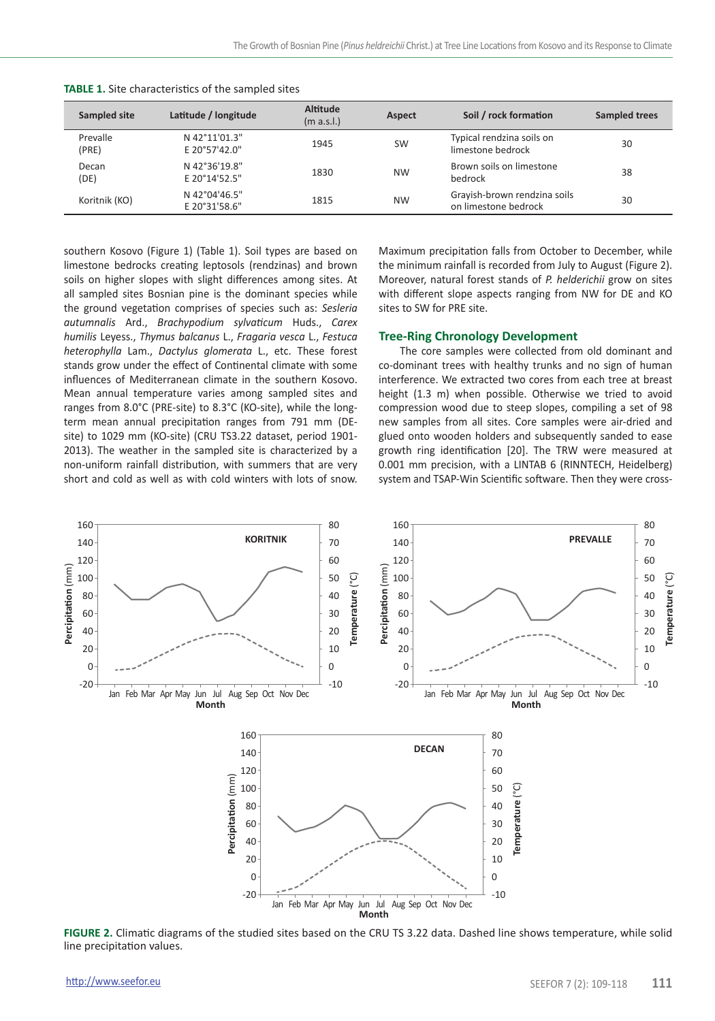| Sampled site      | Latitude / longitude           | Altitude<br>(m a.s.l.) | Aspect    | Soil / rock formation                                | Sampled trees |
|-------------------|--------------------------------|------------------------|-----------|------------------------------------------------------|---------------|
| Prevalle<br>(PRE) | N 42°11'01.3"<br>E 20°57'42.0" | 1945                   | <b>SW</b> | Typical rendzina soils on<br>limestone bedrock       | 30            |
| Decan<br>(DE)     | N 42°36'19.8"<br>E 20°14'52.5" | 1830                   | <b>NW</b> | Brown soils on limestone<br>bedrock                  | 38            |
| Koritnik (KO)     | N 42°04'46.5"<br>E 20°31'58.6" | 1815                   | <b>NW</b> | Grayish-brown rendzina soils<br>on limestone bedrock | 30            |

| <b>TABLE 1.</b> Site characteristics of the sampled sites |  |
|-----------------------------------------------------------|--|
|-----------------------------------------------------------|--|

southern Kosovo (Figure 1) (Table 1). Soil types are based on limestone bedrocks creating leptosols (rendzinas) and brown soils on higher slopes with slight differences among sites. At all sampled sites Bosnian pine is the dominant species while the ground vegetation comprises of species such as: *Sesleria autumnalis* Ard., *Brachypodium sylvaticum* Huds., *Carex humilis* Leyess., *Thymus balcanus* L., *Fragaria vesca* L., *Festuca heterophylla* Lam., *Dactylus glomerata* L., etc. These forest stands grow under the effect of Continental climate with some influences of Mediterranean climate in the southern Kosovo. Mean annual temperature varies among sampled sites and ranges from 8.0°C (PRE-site) to 8.3°C (KO-site), while the longterm mean annual precipitation ranges from 791 mm (DEsite) to 1029 mm (KO-site) (CRU TS3.22 dataset, period 1901- 2013). The weather in the sampled site is characterized by a non-uniform rainfall distribution, with summers that are very short and cold as well as with cold winters with lots of snow.

Maximum precipitation falls from October to December, while the minimum rainfall is recorded from July to August (Figure 2). Moreover, natural forest stands of *P. helderichii* grow on sites with different slope aspects ranging from NW for DE and KO sites to SW for PRE site.

#### **Tree-Ring Chronology Development**

The core samples were collected from old dominant and co-dominant trees with healthy trunks and no sign of human interference. We extracted two cores from each tree at breast height (1.3 m) when possible. Otherwise we tried to avoid compression wood due to steep slopes, compiling a set of 98 new samples from all sites. Core samples were air-dried and glued onto wooden holders and subsequently sanded to ease growth ring identification [20]. The TRW were measured at 0.001 mm precision, with a LINTAB 6 (RINNTECH, Heidelberg) system and TSAP-Win Scientific software. Then they were cross-



**FIGURE 2.** Climatic diagrams of the studied sites based on the CRU TS 3.22 data. Dashed line shows temperature, while solid line precipitation values.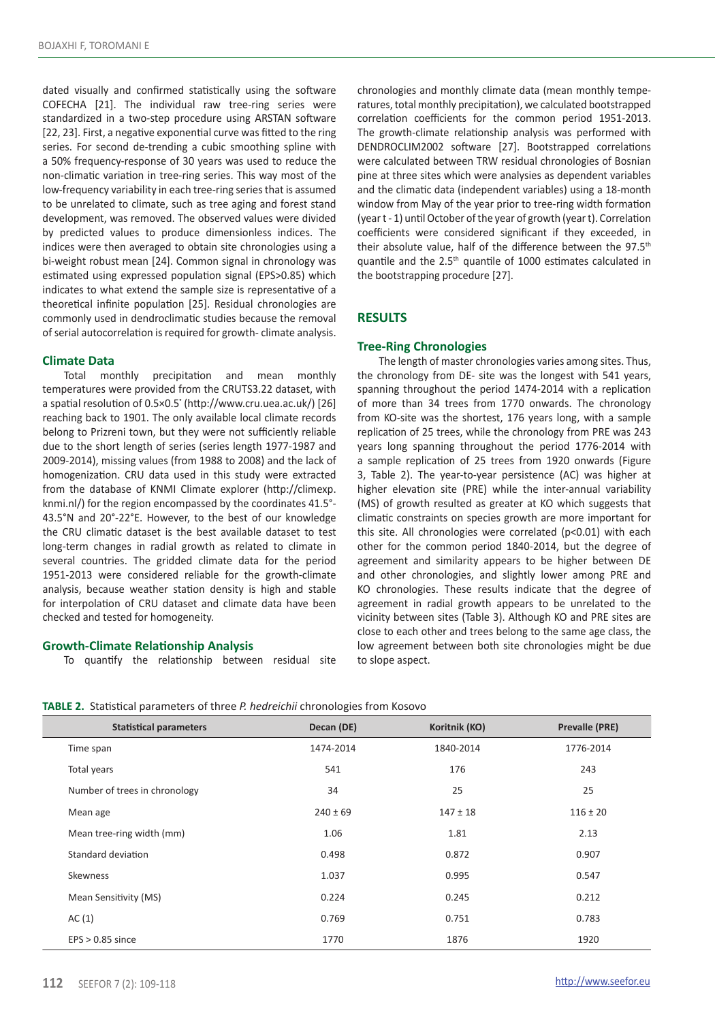dated visually and confirmed statistically using the software COFECHA [21]. The individual raw tree-ring series were standardized in a two-step procedure using ARSTAN software [22, 23]. First, a negative exponential curve was fitted to the ring series. For second de-trending a cubic smoothing spline with a 50% frequency-response of 30 years was used to reduce the non-climatic variation in tree-ring series. This way most of the low-frequency variability in each tree-ring series that is assumed to be unrelated to climate, such as tree aging and forest stand development, was removed. The observed values were divided by predicted values to produce dimensionless indices. The indices were then averaged to obtain site chronologies using a bi-weight robust mean [24]. Common signal in chronology was estimated using expressed population signal (EPS>0.85) which indicates to what extend the sample size is representative of a theoretical infinite population [25]. Residual chronologies are commonly used in dendroclimatic studies because the removal of serial autocorrelation is required for growth- climate analysis.

#### **Climate Data**

Ī

Total monthly precipitation and mean monthly temperatures were provided from the CRUTS3.22 dataset, with a spatial resolution of 0.5×0.5**°** (http://www.cru.uea.ac.uk/) [26] reaching back to 1901. The only available local climate records belong to Prizreni town, but they were not sufficiently reliable due to the short length of series (series length 1977-1987 and 2009-2014), missing values (from 1988 to 2008) and the lack of homogenization. CRU data used in this study were extracted from the database of KNMI Climate explorer (http://climexp. knmi.nl/) for the region encompassed by the coordinates 41.5°- 43.5°N and 20°-22°E. However, to the best of our knowledge the CRU climatic dataset is the best available dataset to test long-term changes in radial growth as related to climate in several countries. The gridded climate data for the period 1951-2013 were considered reliable for the growth-climate analysis, because weather station density is high and stable for interpolation of CRU dataset and climate data have been checked and tested for homogeneity.

#### **Growth-Climate Relationship Analysis**

To quantify the relationship between residual site

chronologies and monthly climate data (mean monthly temperatures, total monthly precipitation), we calculated bootstrapped correlation coefficients for the common period 1951-2013. The growth-climate relationship analysis was performed with DENDROCLIM2002 software [27]. Bootstrapped correlations were calculated between TRW residual chronologies of Bosnian pine at three sites which were analysies as dependent variables and the climatic data (independent variables) using a 18-month window from May of the year prior to tree-ring width formation (year t - 1) until October of the year of growth (year t). Correlation coefficients were considered significant if they exceeded, in their absolute value, half of the difference between the 97.5<sup>th</sup> quantile and the 2.5th quantile of 1000 estimates calculated in the bootstrapping procedure [27].

## **RESULTS**

#### **Tree-Ring Chronologies**

The length of master chronologies varies among sites. Thus, the chronology from DE- site was the longest with 541 years, spanning throughout the period 1474-2014 with a replication of more than 34 trees from 1770 onwards. The chronology from KO-site was the shortest, 176 years long, with a sample replication of 25 trees, while the chronology from PRE was 243 years long spanning throughout the period 1776-2014 with a sample replication of 25 trees from 1920 onwards (Figure 3, Table 2). The year-to-year persistence (AC) was higher at higher elevation site (PRE) while the inter-annual variability (MS) of growth resulted as greater at KO which suggests that climatic constraints on species growth are more important for this site. All chronologies were correlated (p<0.01) with each other for the common period 1840-2014, but the degree of agreement and similarity appears to be higher between DE and other chronologies, and slightly lower among PRE and KO chronologies. These results indicate that the degree of agreement in radial growth appears to be unrelated to the vicinity between sites (Table 3). Although KO and PRE sites are close to each other and trees belong to the same age class, the low agreement between both site chronologies might be due to slope aspect.

| TABLE 2. Statistical parameters of three P. hedreichii chronologies from Kosovo |  |  |  |  |  |
|---------------------------------------------------------------------------------|--|--|--|--|--|
|---------------------------------------------------------------------------------|--|--|--|--|--|

| <b>Statistical parameters</b> | Decan (DE)   | Koritnik (KO) | Prevalle (PRE) |
|-------------------------------|--------------|---------------|----------------|
| Time span                     | 1474-2014    | 1840-2014     | 1776-2014      |
| Total years                   | 541          | 176           | 243            |
| Number of trees in chronology | 34           | 25            | 25             |
| Mean age                      | $240 \pm 69$ | $147 \pm 18$  | $116 \pm 20$   |
| Mean tree-ring width (mm)     | 1.06         | 1.81          | 2.13           |
| Standard deviation            | 0.498        | 0.872         | 0.907          |
| Skewness                      | 1.037        | 0.995         | 0.547          |
| Mean Sensitivity (MS)         | 0.224        | 0.245         | 0.212          |
| AC(1)                         | 0.769        | 0.751         | 0.783          |
| $EPS > 0.85$ since            | 1770         | 1876          | 1920           |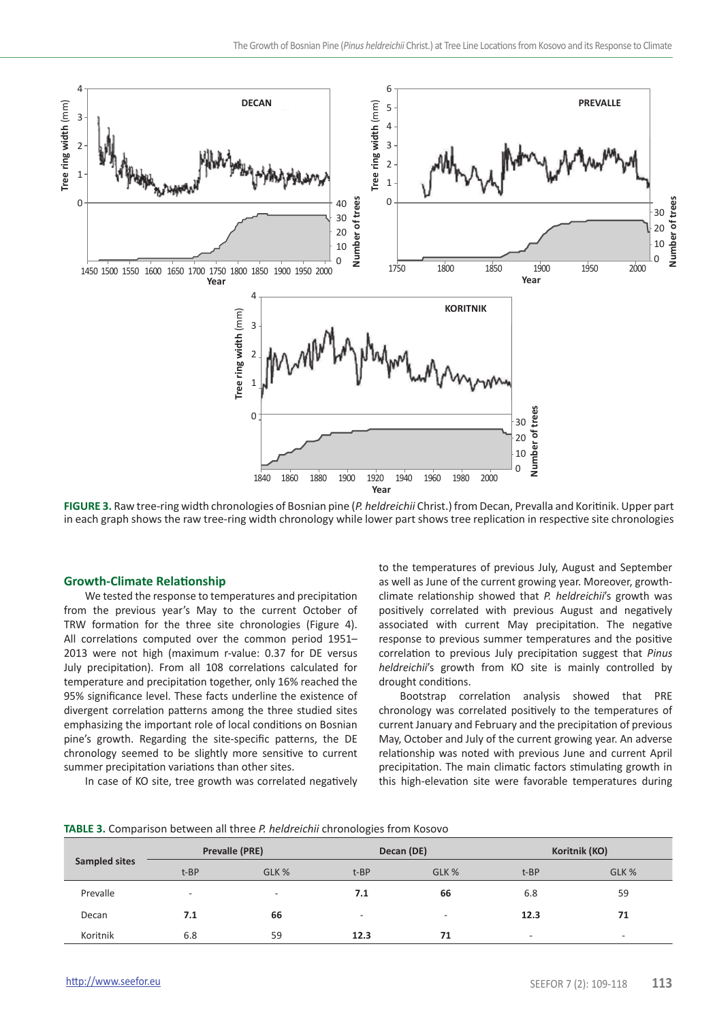

**FIGURE 3.** Raw tree-ring width chronologies of Bosnian pine (*P. heldreichii* Christ.) from Decan, Prevalla and Koritinik. Upper part in each graph shows the raw tree-ring width chronology while lower part shows tree replication in respective site chronologies

#### **Growth-Climate Relationship**

We tested the response to temperatures and precipitation from the previous year's May to the current October of TRW formation for the three site chronologies (Figure 4). All correlations computed over the common period 1951– 2013 were not high (maximum r-value: 0.37 for DE versus July precipitation). From all 108 correlations calculated for temperature and precipitation together, only 16% reached the 95% significance level. These facts underline the existence of divergent correlation patterns among the three studied sites emphasizing the important role of local conditions on Bosnian pine's growth. Regarding the site-specific patterns, the DE chronology seemed to be slightly more sensitive to current summer precipitation variations than other sites.

In case of KO site, tree growth was correlated negatively

to the temperatures of previous July, August and September as well as June of the current growing year. Moreover, growthclimate relationship showed that *P. heldreichii*'s growth was positively correlated with previous August and negatively associated with current May precipitation. The negative response to previous summer temperatures and the positive correlation to previous July precipitation suggest that *Pinus heldreichii*'s growth from KO site is mainly controlled by drought conditions.

Bootstrap correlation analysis showed that PRE chronology was correlated positively to the temperatures of current January and February and the precipitation of previous May, October and July of the current growing year. An adverse relationship was noted with previous June and current April precipitation. The main climatic factors stimulating growth in this high-elevation site were favorable temperatures during

| TABLE 3. Comparison between all three P. heldreichii chronologies from Kosovo |  |
|-------------------------------------------------------------------------------|--|
|-------------------------------------------------------------------------------|--|

| Sampled sites | Prevalle (PRE)           |                | Decan (DE)               |                          | Koritnik (KO)            |                |
|---------------|--------------------------|----------------|--------------------------|--------------------------|--------------------------|----------------|
|               | t-BP                     | GLK %          | t-BP                     | GLK %                    | t-BP                     | GLK %          |
| Prevalle      | $\overline{\phantom{a}}$ | $\blacksquare$ | 7.1                      | 66                       | 6.8                      | 59             |
| Decan         | 7.1                      | 66             | $\overline{\phantom{a}}$ | $\overline{\phantom{a}}$ | 12.3                     | 71             |
| Koritnik      | 6.8                      | 59             | 12.3                     | 71                       | $\overline{\phantom{a}}$ | $\blacksquare$ |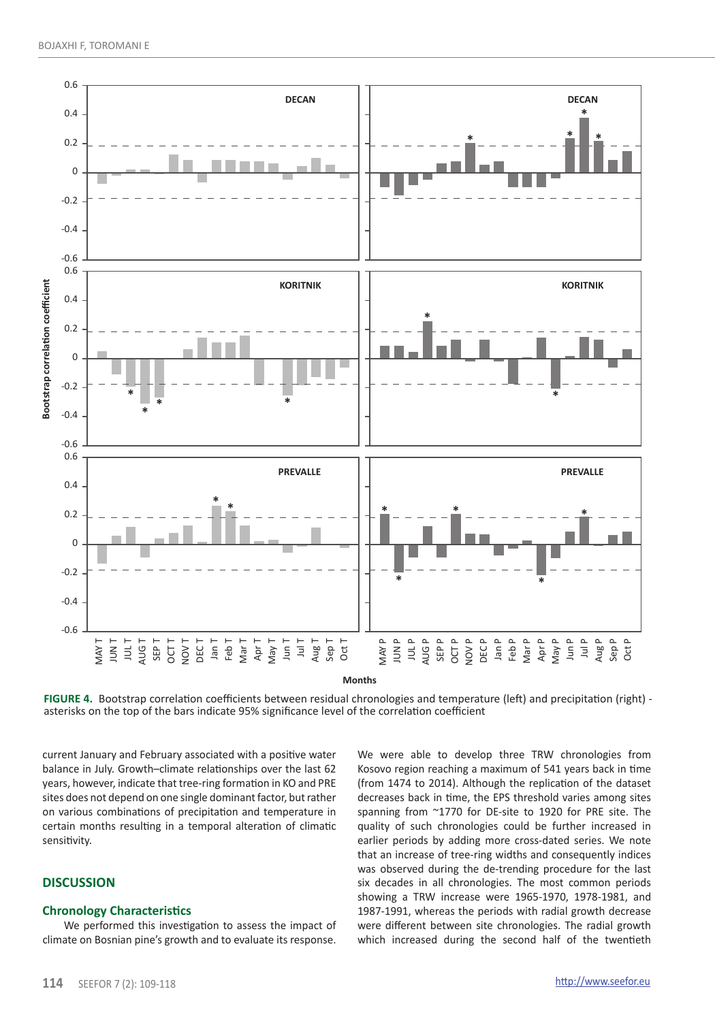

**FIGURE 4.** Bootstrap correlation coefficients between residual chronologies and temperature (left) and precipitation (right) asterisks on the top of the bars indicate 95% significance level of the correlation coefficient

current January and February associated with a positive water balance in July. Growth–climate relationships over the last 62 years, however, indicate that tree-ring formation in KO and PRE sites does not depend on one single dominant factor, but rather on various combinations of precipitation and temperature in certain months resulting in a temporal alteration of climatic sensitivity.

## **DISCUSSION**

## **Chronology Characteristics**

We performed this investigation to assess the impact of climate on Bosnian pine's growth and to evaluate its response.

We were able to develop three TRW chronologies from Kosovo region reaching a maximum of 541 years back in time (from 1474 to 2014). Although the replication of the dataset decreases back in time, the EPS threshold varies among sites spanning from ~1770 for DE-site to 1920 for PRE site. The quality of such chronologies could be further increased in earlier periods by adding more cross-dated series. We note that an increase of tree-ring widths and consequently indices was observed during the de-trending procedure for the last six decades in all chronologies. The most common periods showing a TRW increase were 1965-1970, 1978-1981, and 1987-1991, whereas the periods with radial growth decrease were different between site chronologies. The radial growth which increased during the second half of the twentieth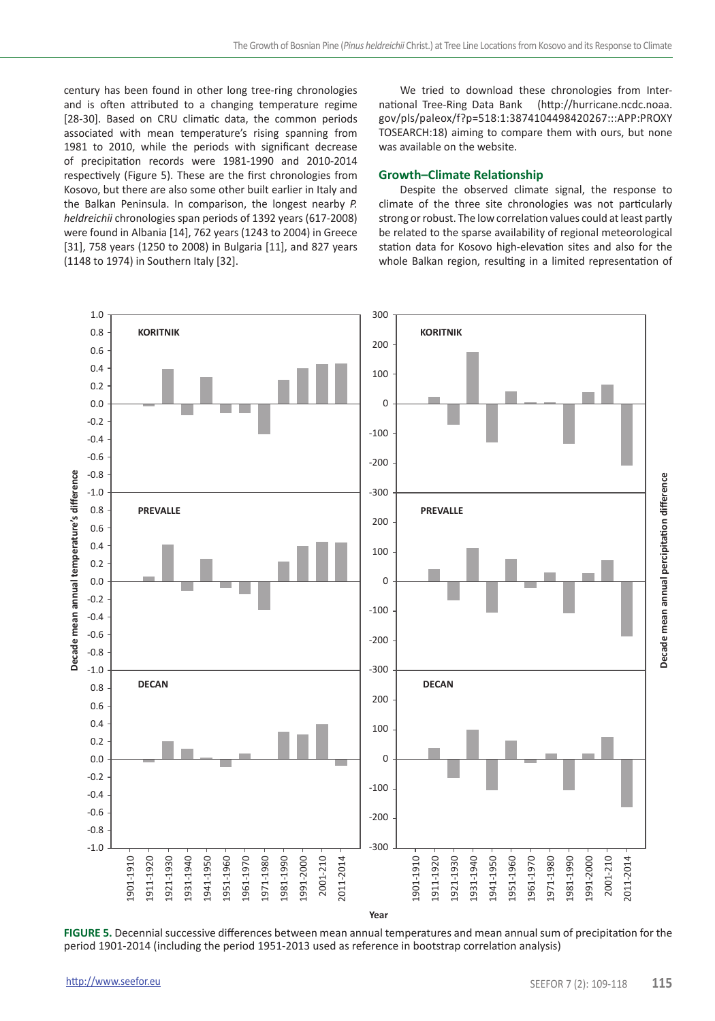century has been found in other long tree-ring chronologies and is often attributed to a changing temperature regime [28-30]. Based on CRU climatic data, the common periods associated with mean temperature's rising spanning from 1981 to 2010, while the periods with significant decrease of precipitation records were 1981-1990 and 2010-2014 respectively (Figure 5). These are the first chronologies from Kosovo, but there are also some other built earlier in Italy and the Balkan Peninsula. In comparison, the longest nearby *P. heldreichii* chronologies span periods of 1392 years (617-2008) were found in Albania [14], 762 years (1243 to 2004) in Greece [31], 758 years (1250 to 2008) in Bulgaria [11], and 827 years (1148 to 1974) in Southern Italy [32].

We tried to download these chronologies from International Tree-Ring Data Bank (http://hurricane.ncdc.noaa. gov/pls/paleox/f?p=518:1:3874104498420267:::APP:PROXY TOSEARCH:18) aiming to compare them with ours, but none was available on the website.

### **Growth–Climate Relationship**

Despite the observed climate signal, the response to climate of the three site chronologies was not particularly strong or robust. The low correlation values could at least partly be related to the sparse availability of regional meteorological station data for Kosovo high-elevation sites and also for the whole Balkan region, resulting in a limited representation of



**FIGURE 5.** Decennial successive differences between mean annual temperatures and mean annual sum of precipitation for the period 1901-2014 (including the period 1951-2013 used as reference in bootstrap correlation analysis)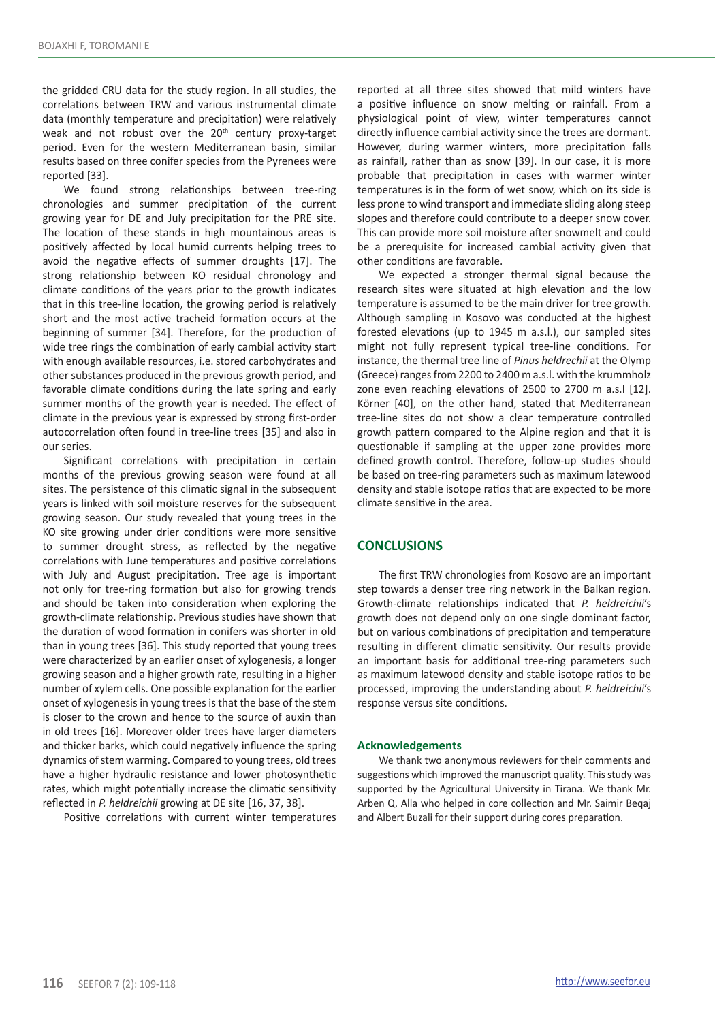the gridded CRU data for the study region. In all studies, the correlations between TRW and various instrumental climate data (monthly temperature and precipitation) were relatively weak and not robust over the 20<sup>th</sup> century proxy-target period. Even for the western Mediterranean basin, similar results based on three conifer species from the Pyrenees were reported [33].

We found strong relationships between tree-ring chronologies and summer precipitation of the current growing year for DE and July precipitation for the PRE site. The location of these stands in high mountainous areas is positively affected by local humid currents helping trees to avoid the negative effects of summer droughts [17]. The strong relationship between KO residual chronology and climate conditions of the years prior to the growth indicates that in this tree-line location, the growing period is relatively short and the most active tracheid formation occurs at the beginning of summer [34]. Therefore, for the production of wide tree rings the combination of early cambial activity start with enough available resources, i.e. stored carbohydrates and other substances produced in the previous growth period, and favorable climate conditions during the late spring and early summer months of the growth year is needed. The effect of climate in the previous year is expressed by strong first-order autocorrelation often found in tree-line trees [35] and also in our series.

Significant correlations with precipitation in certain months of the previous growing season were found at all sites. The persistence of this climatic signal in the subsequent years is linked with soil moisture reserves for the subsequent growing season. Our study revealed that young trees in the KO site growing under drier conditions were more sensitive to summer drought stress, as reflected by the negative correlations with June temperatures and positive correlations with July and August precipitation. Tree age is important not only for tree-ring formation but also for growing trends and should be taken into consideration when exploring the growth-climate relationship. Previous studies have shown that the duration of wood formation in conifers was shorter in old than in young trees [36]. This study reported that young trees were characterized by an earlier onset of xylogenesis, a longer growing season and a higher growth rate, resulting in a higher number of xylem cells. One possible explanation for the earlier onset of xylogenesis in young trees is that the base of the stem is closer to the crown and hence to the source of auxin than in old trees [16]. Moreover older trees have larger diameters and thicker barks, which could negatively influence the spring dynamics of stem warming. Compared to young trees, old trees have a higher hydraulic resistance and lower photosynthetic rates, which might potentially increase the climatic sensitivity reflected in *P. heldreichii* growing at DE site [16, 37, 38].

Positive correlations with current winter temperatures

reported at all three sites showed that mild winters have a positive influence on snow melting or rainfall. From a physiological point of view, winter temperatures cannot directly influence cambial activity since the trees are dormant. However, during warmer winters, more precipitation falls as rainfall, rather than as snow [39]. In our case, it is more probable that precipitation in cases with warmer winter temperatures is in the form of wet snow, which on its side is less prone to wind transport and immediate sliding along steep slopes and therefore could contribute to a deeper snow cover. This can provide more soil moisture after snowmelt and could be a prerequisite for increased cambial activity given that other conditions are favorable.

We expected a stronger thermal signal because the research sites were situated at high elevation and the low temperature is assumed to be the main driver for tree growth. Although sampling in Kosovo was conducted at the highest forested elevations (up to 1945 m a.s.l.), our sampled sites might not fully represent typical tree-line conditions. For instance, the thermal tree line of *Pinus heldrechii* at the Olymp (Greece) ranges from 2200 to 2400 m a.s.l. with the krummholz zone even reaching elevations of 2500 to 2700 m a.s.l [12]. Körner [40], on the other hand, stated that Mediterranean tree-line sites do not show a clear temperature controlled growth pattern compared to the Alpine region and that it is questionable if sampling at the upper zone provides more defined growth control. Therefore, follow-up studies should be based on tree-ring parameters such as maximum latewood density and stable isotope ratios that are expected to be more climate sensitive in the area.

## **CONCLUSIONS**

The first TRW chronologies from Kosovo are an important step towards a denser tree ring network in the Balkan region. Growth-climate relationships indicated that *P. heldreichii*'s growth does not depend only on one single dominant factor, but on various combinations of precipitation and temperature resulting in different climatic sensitivity. Our results provide an important basis for additional tree-ring parameters such as maximum latewood density and stable isotope ratios to be processed, improving the understanding about *P. heldreichii*'s response versus site conditions.

#### **Acknowledgements**

We thank two anonymous reviewers for their comments and suggestions which improved the manuscript quality. This study was supported by the Agricultural University in Tirana. We thank Mr. Arben Q. Alla who helped in core collection and Mr. Saimir Beqaj and Albert Buzali for their support during cores preparation.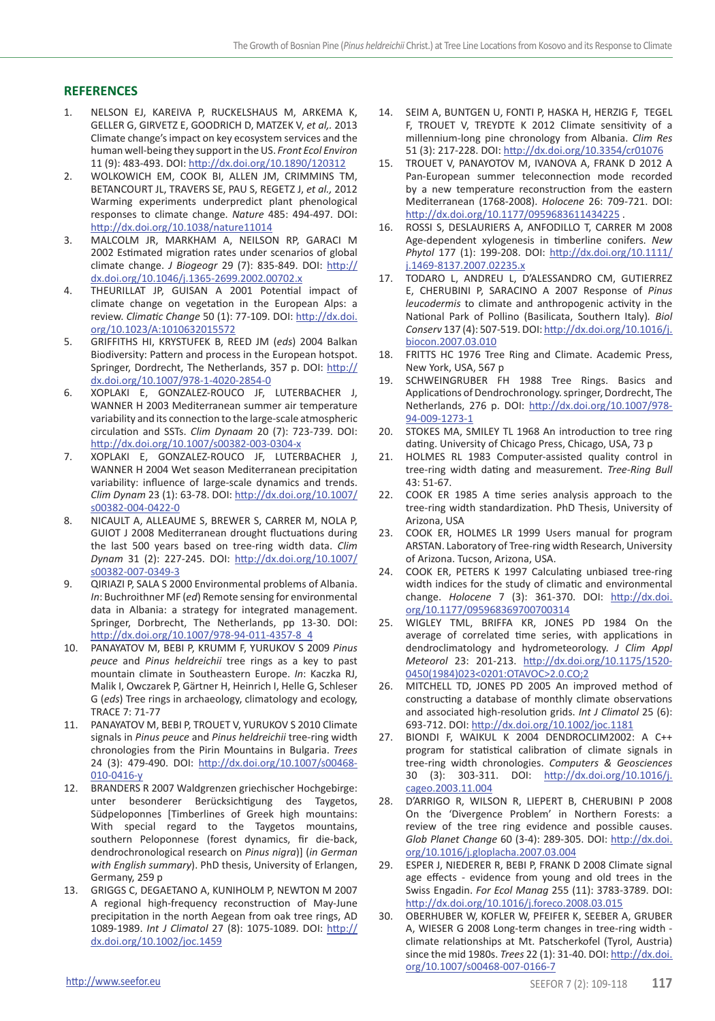## **REFERENCES**

- 1. NELSON EJ, KAREIVA P, RUCKELSHAUS M, ARKEMA K, GELLER G, GIRVETZ E, GOODRICH D, MATZEK V, *et al,.* 2013 Climate change's impact on key ecosystem services and the human well-being they support in the US. *Front Ecol Environ* 11 (9): 483-493. DOI: http://dx.doi.org/10.1890/120312
- 2. WOLKOWICH EM, COOK BI, ALLEN JM, CRIMMINS TM, BETANCOURT JL, TRAVERS SE, PAU S, REGETZ J, *et al.,* 2012 Warming experiments underpredict plant phenological responses to climate change. *Nature* 485: 494-497. DOI: http://dx.doi.org/10.1038/nature11014
- 3. MALCOLM JR, MARKHAM A, NEILSON RP, GARACI M 2002 Estimated migration rates under scenarios of global climate change. *J Biogeogr* 29 (7): 835-849. DOI: http:// dx.doi.org/10.1046/j.1365-2699.2002.00702.x
- 4. THEURILLAT JP, GUISAN A 2001 Potential impact of climate change on vegetation in the European Alps: a review. *Climatic Change* 50 (1): 77-109. DOI: http://dx.doi. org/10.1023/A:1010632015572
- 5. GRIFFITHS HI, KRYSTUFEK B, REED JM (*eds*) 2004 Balkan Biodiversity: Pattern and process in the European hotspot. Springer, Dordrecht, The Netherlands, 357 p. DOI: http:// dx.doi.org/10.1007/978-1-4020-2854-0
- 6. XOPLAKI E, GONZALEZ-ROUCO JF, LUTERBACHER J, WANNER H 2003 Mediterranean summer air temperature variability and its connection to the large-scale atmospheric circulation and SSTs. *Clim Dynaam* 20 (7): 723-739. DOI: http://dx.doi.org/10.1007/s00382-003-0304-x
- 7. XOPLAKI E, GONZALEZ-ROUCO JF, LUTERBACHER J, WANNER H 2004 Wet season Mediterranean precipitation variability: influence of large-scale dynamics and trends. *Clim Dynam* 23 (1): 63-78. DOI: http://dx.doi.org/10.1007/ s00382-004-0422-0
- 8. NICAULT A, ALLEAUME S, BREWER S, CARRER M, NOLA P, GUIOT J 2008 Mediterranean drought fluctuations during the last 500 years based on tree-ring width data. *Clim Dynam* 31 (2): 227-245. DOI: http://dx.doi.org/10.1007/ s00382-007-0349-3
- 9. QIRIAZI P, SALA S 2000 Environmental problems of Albania. *In*: Buchroithner MF (*ed*) Remote sensing for environmental data in Albania: a strategy for integrated management. Springer, Dorbrecht, The Netherlands, pp 13-30. DOI: http://dx.doi.org/10.1007/978-94-011-4357-8\_4
- 10. PANAYATOV M, BEBI P, KRUMM F, YURUKOV S 2009 *Pinus peuce* and *Pinus heldreichii* tree rings as a key to past mountain climate in Southeastern Europe. *In*: Kaczka RJ, Malik I, Owczarek P, Gärtner H, Heinrich I, Helle G, Schleser G (*eds*) Tree rings in archaeology, climatology and ecology, TRACE 7: 71-77
- 11. PANAYATOV M, BEBI P, TROUET V, YURUKOV S 2010 Climate signals in *Pinus peuce* and *Pinus heldreichii* tree-ring width chronologies from the Pirin Mountains in Bulgaria. *Trees*  24 (3): 479-490. DOI: http://dx.doi.org/10.1007/s00468- 010-0416-y
- 12. BRANDERS R 2007 Waldgrenzen griechischer Hochgebirge: unter besonderer Berücksichtigung des Taygetos, Südpeloponnes [Timberlines of Greek high mountains: With special regard to the Taygetos mountains, southern Peloponnese (forest dynamics, fir die-back, dendrochronological research on *Pinus nigra*)] (*in German with English summary*). PhD thesis, University of Erlangen, Germany, 259 p
- 13. GRIGGS C, DEGAETANO A, KUNIHOLM P, NEWTON M 2007 A regional high-frequency reconstruction of May-June precipitation in the north Aegean from oak tree rings, AD 1089-1989. *Int J Climatol* 27 (8): 1075-1089. DOI: http:// dx.doi.org/10.1002/joc.1459
- 14. SEIM A, BUNTGEN U, FONTI P, HASKA H, HERZIG F, TEGEL F, TROUET V, TREYDTE K 2012 Climate sensitivity of a millennium-long pine chronology from Albania. *Clim Res*  51 (3): 217-228. DOI: http://dx.doi.org/10.3354/cr01076
- 15. TROUET V, PANAYOTOV M, IVANOVA A, FRANK D 2012 A Pan-European summer teleconnection mode recorded by a new temperature reconstruction from the eastern Mediterranean (1768-2008). *Holocene* 26: 709-721. DOI: http://dx.doi.org/10.1177/0959683611434225 .
- 16. ROSSI S, DESLAURIERS A, ANFODILLO T, CARRER M 2008 Age-dependent xylogenesis in timberline conifers. *New Phytol* 177 (1): 199-208. DOI: http://dx.doi.org/10.1111/ j.1469-8137.2007.02235.x
- 17. TODARO L, ANDREU L, D'ALESSANDRO CM, GUTIERREZ E, CHERUBINI P, SARACINO A 2007 Response of *Pinus leucodermis* to climate and anthropogenic activity in the National Park of Pollino (Basilicata, Southern Italy)*. Biol Conserv* 137 (4): 507-519. DOI: http://dx.doi.org/10.1016/j. biocon.2007.03.010
- 18. FRITTS HC 1976 Tree Ring and Climate. Academic Press, New York, USA, 567 p
- 19. SCHWEINGRUBER FH 1988 Tree Rings. Basics and Applications of Dendrochronology. springer, Dordrecht, The Netherlands, 276 p. DOI: http://dx.doi.org/10.1007/978- 94-009-1273-1
- 20. STOKES MA, SMILEY TL 1968 An introduction to tree ring dating. University of Chicago Press, Chicago, USA, 73 p
- 21. HOLMES RL 1983 Computer-assisted quality control in tree-ring width dating and measurement. *Tree-Ring Bull*  43: 51-67.
- 22. COOK ER 1985 A time series analysis approach to the tree-ring width standardization. PhD Thesis, University of Arizona, USA
- 23. COOK ER, HOLMES LR 1999 Users manual for program ARSTAN. Laboratory of Tree-ring width Research, University of Arizona. Tucson, Arizona, USA.
- 24. COOK ER, PETERS K 1997 Calculating unbiased tree-ring width indices for the study of climatic and environmental change. *Holocene* 7 (3): 361-370. DOI: http://dx.doi. org/10.1177/095968369700700314
- 25. WIGLEY TML, BRIFFA KR, JONES PD 1984 On the average of correlated time series, with applications in dendroclimatology and hydrometeorology. *J Clim Appl Meteorol* 23: 201-213. http://dx.doi.org/10.1175/1520- 0450(1984)023<0201:OTAVOC>2.0.CO;2
- 26. MITCHELL TD, JONES PD 2005 An improved method of constructing a database of monthly climate observations and associated high-resolution grids. *Int J Climatol* 25 (6): 693-712. DOI: http://dx.doi.org/10.1002/joc.1181
- 27. BIONDI F, WAIKUL K 2004 DENDROCLIM2002: A C++ program for statistical calibration of climate signals in tree-ring width chronologies. *Computers & Geosciences*  30 (3): 303-311. DOI: http://dx.doi.org/10.1016/j. cageo.2003.11.004
- 28. D'ARRIGO R, WILSON R, LIEPERT B, CHERUBINI P 2008 On the 'Divergence Problem' in Northern Forests: a review of the tree ring evidence and possible causes. *Glob Planet Change* 60 (3-4): 289-305. DOI: http://dx.doi. org/10.1016/j.gloplacha.2007.03.004
- 29. ESPER J, NIEDERER R, BEBI P, FRANK D 2008 Climate signal age effects - evidence from young and old trees in the Swiss Engadin. *For Ecol Manag* 255 (11): 3783-3789. DOI: http://dx.doi.org/10.1016/j.foreco.2008.03.015
- 30. OBERHUBER W, KOFLER W, PFEIFER K, SEEBER A, GRUBER A, WIESER G 2008 Long-term changes in tree-ring width climate relationships at Mt. Patscherkofel (Tyrol, Austria) since the mid 1980s. *Trees* 22 (1): 31-40. DOI: http://dx.doi. org/10.1007/s00468-007-0166-7